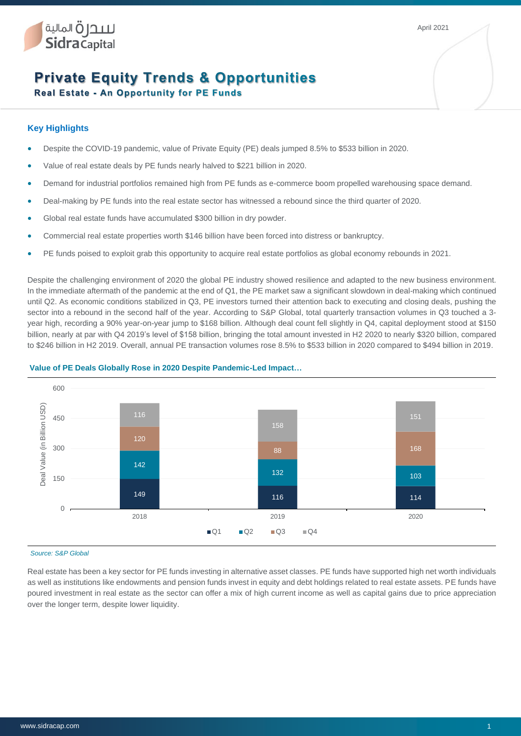April 2021

# **Private Equity Trends & Opportunities**

**Real Estate - An Opportunity for PE Funds** 

# **Key Highlights**

لللدل قالمالية<br>Sidra Capital

- Despite the COVID-19 pandemic, value of Private Equity (PE) deals jumped 8.5% to \$533 billion in 2020.
- Value of real estate deals by PE funds nearly halved to \$221 billion in 2020.
- Demand for industrial portfolios remained high from PE funds as e-commerce boom propelled warehousing space demand.
- Deal-making by PE funds into the real estate sector has witnessed a rebound since the third quarter of 2020.
- Global real estate funds have accumulated \$300 billion in dry powder.
- Commercial real estate properties worth \$146 billion have been forced into distress or bankruptcy.
- PE funds poised to exploit grab this opportunity to acquire real estate portfolios as global economy rebounds in 2021.

Despite the challenging environment of 2020 the global PE industry showed resilience and adapted to the new business environment. In the immediate aftermath of the pandemic at the end of Q1, the PE market saw a significant slowdown in deal-making which continued until Q2. As economic conditions stabilized in Q3, PE investors turned their attention back to executing and closing deals, pushing the sector into a rebound in the second half of the year. According to S&P Global, total quarterly transaction volumes in Q3 touched a 3 year high, recording a 90% year-on-year jump to \$168 billion. Although deal count fell slightly in Q4, capital deployment stood at \$150 billion, nearly at par with Q4 2019's level of \$158 billion, bringing the total amount invested in H2 2020 to nearly \$320 billion, compared to \$246 billion in H2 2019. Overall, annual PE transaction volumes rose 8.5% to \$533 billion in 2020 compared to \$494 billion in 2019.



## **Value of PE Deals Globally Rose in 2020 Despite Pandemic-Led Impact…**

#### *Source: S&P Global*

Real estate has been a key sector for PE funds investing in alternative asset classes. PE funds have supported high net worth individuals as well as institutions like endowments and pension funds invest in equity and debt holdings related to real estate assets. PE funds have poured investment in real estate as the sector can offer a mix of high current income as well as capital gains due to price appreciation over the longer term, despite lower liquidity.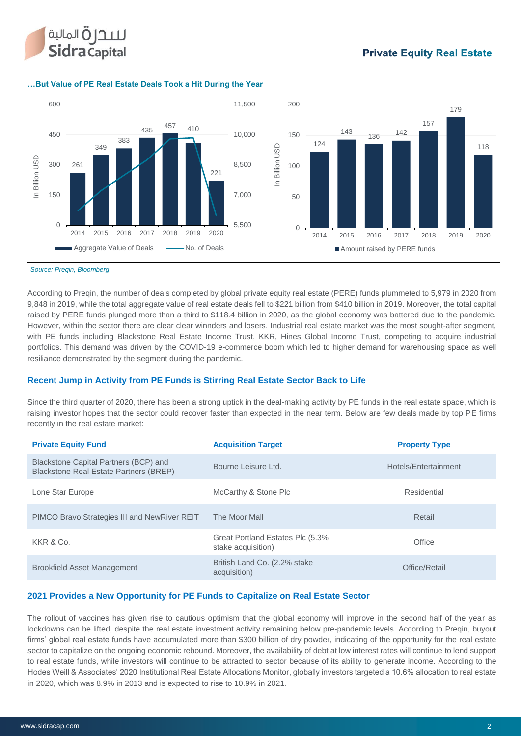

#### **…But Value of PE Real Estate Deals Took a Hit During the Year**



*Source: Preqin, Bloomberg*

According to Preqin, the number of deals completed by global private equity real estate (PERE) funds plummeted to 5,979 in 2020 from 9,848 in 2019, while the total aggregate value of real estate deals fell to \$221 billion from \$410 billion in 2019. Moreover, the total capital raised by PERE funds plunged more than a third to \$118.4 billion in 2020, as the global economy was battered due to the pandemic. However, within the sector there are clear clear winnders and losers. Industrial real estate market was the most sought-after segment, with PE funds including Blackstone Real Estate Income Trust, KKR, Hines Global Income Trust, competing to acquire industrial portfolios. This demand was driven by the COVID-19 e-commerce boom which led to higher demand for warehousing space as well resiliance demonstrated by the segment during the pandemic.

## **Recent Jump in Activity from PE Funds is Stirring Real Estate Sector Back to Life**

Since the third quarter of 2020, there has been a strong uptick in the deal-making activity by PE funds in the real estate space, which is raising investor hopes that the sector could recover faster than expected in the near term. Below are few deals made by top PE firms recently in the real estate market:

| <b>Private Equity Fund</b>                                                      | <b>Acquisition Target</b>                              | <b>Property Type</b> |
|---------------------------------------------------------------------------------|--------------------------------------------------------|----------------------|
| Blackstone Capital Partners (BCP) and<br>Blackstone Real Estate Partners (BREP) | Bourne Leisure Ltd.                                    | Hotels/Entertainment |
| Lone Star Europe                                                                | McCarthy & Stone Plc                                   | Residential          |
| PIMCO Bravo Strategies III and NewRiver REIT                                    | The Moor Mall                                          | Retail               |
| KKR & Co.                                                                       | Great Portland Estates Plc (5.3%<br>stake acquisition) | Office               |
| <b>Brookfield Asset Management</b>                                              | British Land Co. (2.2% stake<br>acquisition)           | Office/Retail        |

## **2021 Provides a New Opportunity for PE Funds to Capitalize on Real Estate Sector**

The rollout of vaccines has given rise to cautious optimism that the global economy will improve in the second half of the year as lockdowns can be lifted, despite the real estate investment activity remaining below pre-pandemic levels. According to Preqin, buyout firms' global real estate funds have accumulated more than \$300 billion of dry powder, indicating of the opportunity for the real estate sector to capitalize on the ongoing economic rebound. Moreover, the availability of debt at low interest rates will continue to lend support to real estate funds, while investors will continue to be attracted to sector because of its ability to generate income. According to the Hodes Weill & Associates' 2020 Institutional Real Estate Allocations Monitor, globally investors targeted a 10.6% allocation to real estate in 2020, which was 8.9% in 2013 and is expected to rise to 10.9% in 2021.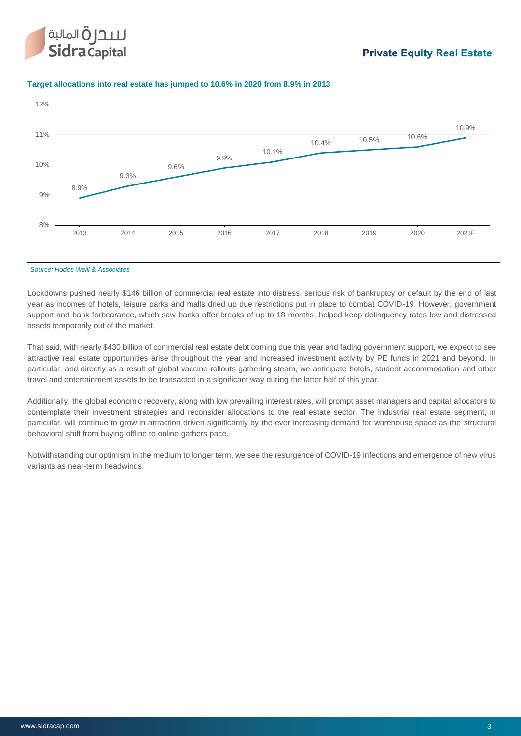

#### **Target allocations into real estate has jumped to 10.6% in 2020 from 8.9% in 2013**



*Source: Hodes Weill & Associates*

Lockdowns pushed nearly \$146 billion of commercial real estate into distress, serious risk of bankruptcy or default by the end of last year as incomes of hotels, leisure parks and malls dried up due restrictions put in place to combat COVID-19. However, government support and bank forbearance, which saw banks offer breaks of up to 18 months, helped keep delinquency rates low and distressed assets temporarily out of the market.

That said, with nearly \$430 billion of commercial real estate debt coming due this year and fading government support, we expect to see attractive real estate opportunities arise throughout the year and increased investment activity by PE funds in 2021 and beyond. In particular, and directly as a result of global vaccine rollouts gathering steam, we anticipate hotels, student accommodation and other travel and entertainment assets to be transacted in a significant way during the latter half of this year.

Additionally, the global economic recovery, along with low prevailing interest rates, will prompt asset managers and capital allocators to contemplate their investment strategies and reconsider allocations to the real estate sector. The Industrial real estate segment, in particular, will continue to grow in attraction driven significantly by the ever increasing demand for warehouse space as the structural behavioral shift from buying offline to online gathers pace.

Notwithstanding our optimism in the medium to longer term, we see the resurgence of COVID-19 infections and emergence of new virus variants as near-term headwinds.